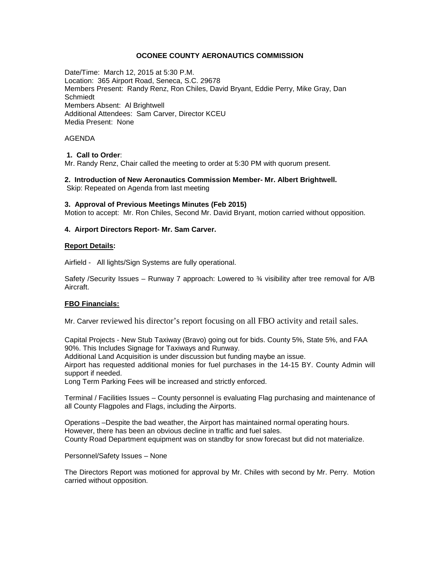## **OCONEE COUNTY AERONAUTICS COMMISSION**

Date/Time: March 12, 2015 at 5:30 P.M. Location: 365 Airport Road, Seneca, S.C. 29678 Members Present: Randy Renz, Ron Chiles, David Bryant, Eddie Perry, Mike Gray, Dan Schmiedt Members Absent: Al Brightwell Additional Attendees: Sam Carver, Director KCEU Media Present: None

## AGENDA

## **1. Call to Order**:

Mr. Randy Renz, Chair called the meeting to order at 5:30 PM with quorum present.

# **2. Introduction of New Aeronautics Commission Member- Mr. Albert Brightwell.**

Skip: Repeated on Agenda from last meeting

## **3. Approval of Previous Meetings Minutes (Feb 2015)**

Motion to accept: Mr. Ron Chiles, Second Mr. David Bryant, motion carried without opposition.

## **4. Airport Directors Report- Mr. Sam Carver.**

#### **Report Details:**

Airfield - All lights/Sign Systems are fully operational.

Safety /Security Issues – Runway 7 approach: Lowered to ¾ visibility after tree removal for A/B Aircraft.

## **FBO Financials:**

Mr. Carver reviewed his director's report focusing on all FBO activity and retail sales.

Capital Projects - New Stub Taxiway (Bravo) going out for bids. County 5%, State 5%, and FAA 90%. This Includes Signage for Taxiways and Runway.

Additional Land Acquisition is under discussion but funding maybe an issue.

Airport has requested additional monies for fuel purchases in the 14-15 BY. County Admin will support if needed.

Long Term Parking Fees will be increased and strictly enforced.

Terminal / Facilities Issues – County personnel is evaluating Flag purchasing and maintenance of all County Flagpoles and Flags, including the Airports.

Operations –Despite the bad weather, the Airport has maintained normal operating hours. However, there has been an obvious decline in traffic and fuel sales. County Road Department equipment was on standby for snow forecast but did not materialize.

Personnel/Safety Issues – None

The Directors Report was motioned for approval by Mr. Chiles with second by Mr. Perry. Motion carried without opposition.